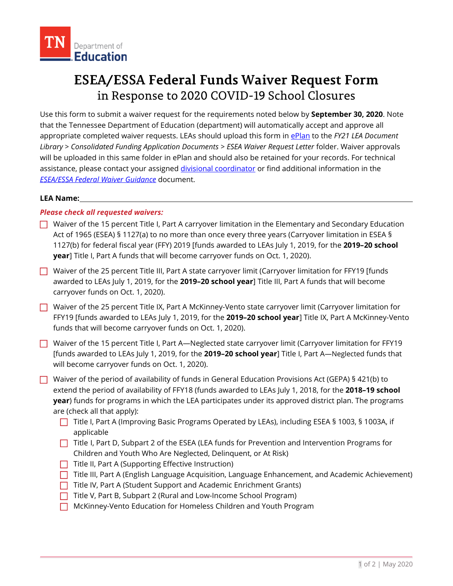## **ESEA/ESSA Federal Funds Waiver Request Form**  in Response to 2020 COVID-19 School Closures

 appropriate completed waiver requests. LEAs should upload this form in [ePlan t](https://eplan.tn.gov/)o the *FY21 LEA Document*  will be uploaded in this same folder in ePlan and should also be retained for your records. For technical Use this form to submit a waiver request for the requirements noted below by **September 30, 2020**. Note that the Tennessee Department of Education (department) will automatically accept and approve all *Library > Consolidated Funding Application Documents > ESEA Waiver Request Letter* folder. Waiver approvals assistance, please contact your assigned [divisional coordinator o](https://eplan.tn.gov/DocumentLibrary/ViewDocument.aspx?DocumentKey=1528498&inline=true)r find additional information in the *[ESEA/ESSA Federal Waiver Guidance](https://eplan.tn.gov/DocumentLibrary/ViewDocument.aspx?DocumentKey=1585877&inline=true)* document.

### **LEA Name:**

### *Please check all requested waivers:*

- $\Box$  Waiver of the 15 percent Title I, Part A carryover limitation in the Elementary and Secondary Education **year**] Title I, Part A funds that will become carryover funds on Oct. 1, 2020). Act of 1965 (ESEA) § 1127(a) to no more than once every three years (Carryover limitation in ESEA § 1127(b) for federal fiscal year (FFY) 2019 [funds awarded to LEAs July 1, 2019, for the **2019–20 school**
- Waiver of the 25 percent Title III, Part A state carryover limit (Carryover limitation for FFY19 [funds] awarded to LEAs July 1, 2019, for the **2019–20 school year**] Title III, Part A funds that will become carryover funds on Oct. 1, 2020).
- Waiver of the 25 percent Title IX, Part A McKinney-Vento state carryover limit (Carryover limitation for FFY19 [funds awarded to LEAs July 1, 2019, for the **2019–20 school year**] Title IX, Part A McKinney-Vento funds that will become carryover funds on Oct. 1, 2020).
- will become carryover funds on Oct. 1, 2020). Waiver of the 15 percent Title I, Part A—Neglected state carryover limit (Carryover limitation for FFY19 [funds awarded to LEAs July 1, 2019, for the **2019–20 school year**] Title I, Part A—Neglected funds that
- Waiver of the period of availability of funds in General Education Provisions Act (GEPA) § 421(b) to **year**) funds for programs in which the LEA participates under its approved district plan. The programs extend the period of availability of FFY18 (funds awarded to LEAs July 1, 2018, for the **2018–19 school**  are (check all that apply):
	- Title I, Part A (Improving Basic Programs Operated by LEAs), including ESEA § 1003, § 1003A, if applicable
	- $\Box$  Title I, Part D, Subpart 2 of the ESEA (LEA funds for Prevention and Intervention Programs for Children and Youth Who Are Neglected, Delinquent, or At Risk)
	- $\Box$  Title II, Part A (Supporting Effective Instruction)
	- Title III, Part A (English Language Acquisition, Language Enhancement, and Academic Achievement)
	- $\Box$  Title IV, Part A (Student Support and Academic Enrichment Grants)
	- □ Title V, Part B, Subpart 2 (Rural and Low-Income School Program)
	- McKinney-Vento Education for Homeless Children and Youth Program